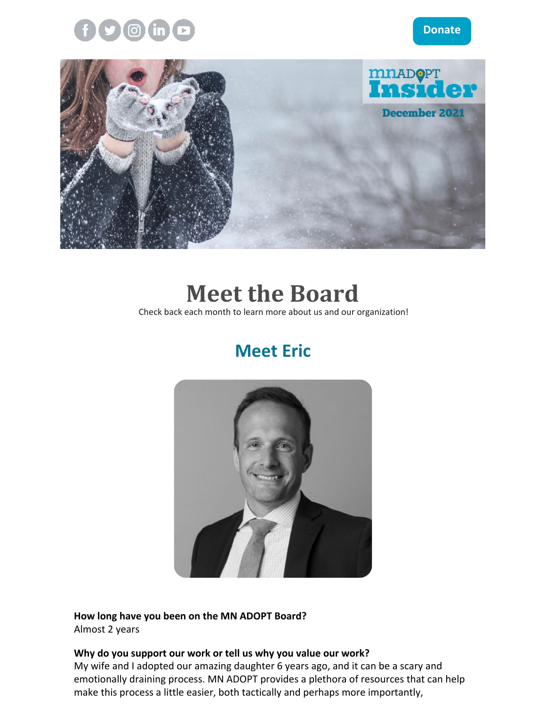



## **Meet the Board**

Check back each month to learn more about us and our organization!

## **Meet Eric**



**How long have you been on the MN ADOPT Board?** Almost 2 years

#### **Why do you support our work or tell us why you value our work?**

My wife and I adopted our amazing daughter 6 years ago, and it can be a scary and emotionally draining process. MN ADOPT provides a plethora of resources that can help make this process a little easier, both tactically and perhaps more importantly,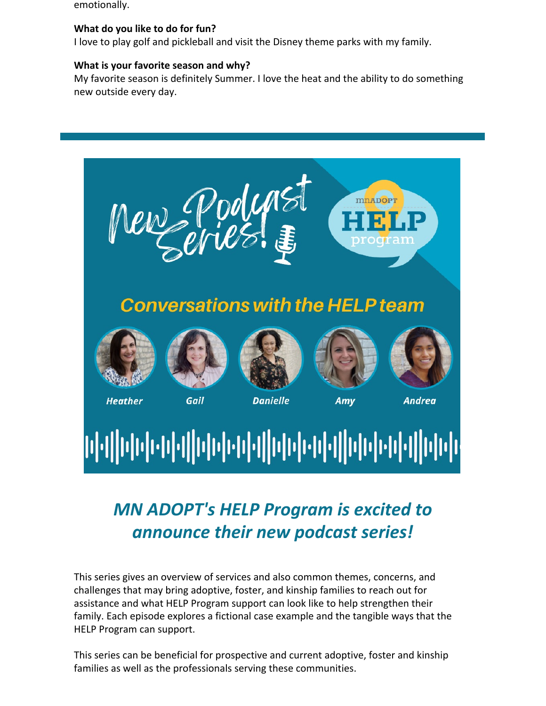emotionally.

#### **What do you like to do for fun?**

I love to play golf and pickleball and visit the Disney theme parks with my family.

#### **What is your favorite season and why?**

My favorite season is definitely Summer. I love the heat and the ability to do something new outside every day.



## *MN ADOPT's HELP Program is excited to announce their new podcast series!*

This series gives an overview of services and also common themes, concerns, and challenges that may bring adoptive, foster, and kinship families to reach out for assistance and what HELP Program support can look like to help strengthen their family. Each episode explores a fictional case example and the tangible ways that the HELP Program can support.

This series can be beneficial for prospective and current adoptive, foster and kinship families as well as the professionals serving these communities.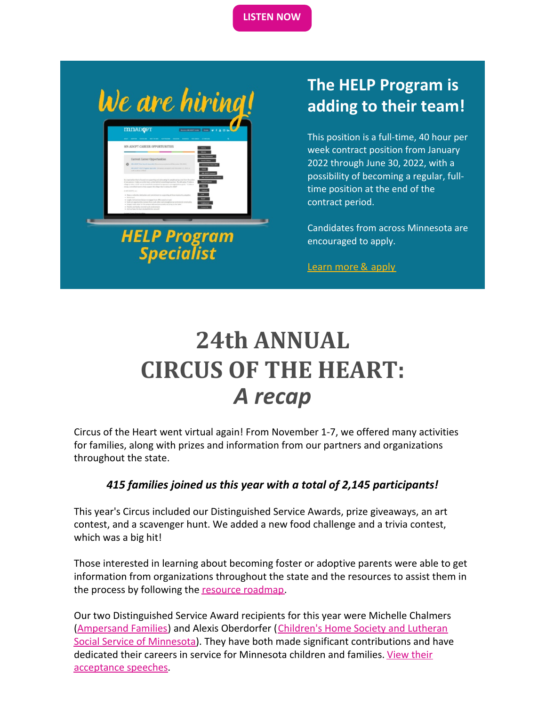**[LISTEN](https://www.mnadopt.org/help-prog/help-program-podcast-series/) NOW**

We are hiring!

**HELP Program Specialist** 

### **The HELP Program is adding to their team!**

This position is a full-time, 40 hour per week contract position from January 2022 through June 30, 2022, with a possibility of becoming a regular, fulltime position at the end of the contract period.

Candidates from across Minnesota are encouraged to apply.

[Learn](https://www.mnadopt.org/about/employment/) more & apply

# **24th ANNUAL CIRCUS OF THE HEART:** *A recap*

Circus of the Heart went virtual again! From November 1-7, we offered many activities for families, along with prizes and information from our partners and organizations throughout the state.

### *415 families joined us this year with a total of 2,145 participants!*

This year's Circus included our Distinguished Service Awards, prize giveaways, an art contest, and a scavenger hunt. We added a new food challenge and a trivia contest, which was a big hit!

Those interested in learning about becoming foster or adoptive parents were able to get information from organizations throughout the state and the resources to assist them in the process by following the resource [roadmap.](https://www.mnadopt.org/about/events-news/circus-of-the-heart/resource-road-map/)

Our two Distinguished Service Award recipients for this year were Michelle Chalmers [\(Ampersand](https://ampersandfamilies.org/) Families) and Alexis Oberdorfer (Children's Home Society and Lutheran Social Service of Minnesota). They have both made significant [contributions](http://chlss.org) and have dedicated their careers in service for Minnesota children and families. View their [acceptance](https://www.youtube.com/watch?v=wDV3X1cQqT4) speeches.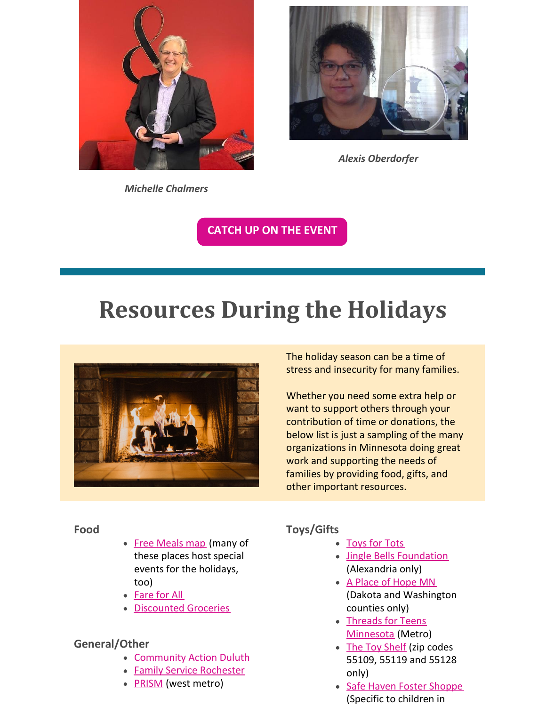

*Alexis Oberdorfer*

*Michelle Chalmers*

**[CATCH](https://www.mnadopt.org/about/events-news/coth2021/) UP ON THE EVENT**

# **Resources During the Holidays**



The holiday season can be a time of stress and insecurity for many families.

Whether you need some extra help or want to support others through your contribution of time or donations, the below list is just a sampling of the many organizations in Minnesota doing great work and supporting the needs of families by providing food, gifts, and other important resources.

#### **Food**

- Free [Meals](https://www.hungersolutions.org/find-help/?fwp_categories=free-meals) map (many of these places host special events for the holidays, too)
- [Fare](https://fareforall.thefoodgroupmn.org/dec-2021-schedule/) for All
- [Discounted](https://www.hungersolutions.org/find-help/?fwp_categories=discount-grocery) Groceries

### **General/Other**

- [Community](https://www.communityactionduluth.org/programs) Action Duluth
- **Family Service [Rochester](https://familyservicerochester.org/Services)**
- **[PRISM](https://www.prismmpls.org/)** (west metro)

### **Toys/Gifts**

- [Toys](https://www.toysfortots.org/request_toys/toys-city-county.aspx?txtState=MINNESOTA) for Tots
- Jingle Bells [Foundation](https://www.jinglebellsalexandria.org/basket-request/) (Alexandria only)
- A Place of [Hope](https://www.placeofhopemn.org/toys-for-tots-online-registration) MN (Dakota and Washington counties only)
- Threads for Teens [Minnesota](https://threadsforteens.org/threads-teens-minnesota/) (Metro)
- The Toy [Shelf](https://www.thetoyshelffree.org/using-the-toy-shelf.html) (zip codes 55109, 55119 and 55128 only)
- Safe Haven Foster [Shoppe](https://safehavenfostershoppe.org/) (Specific to children in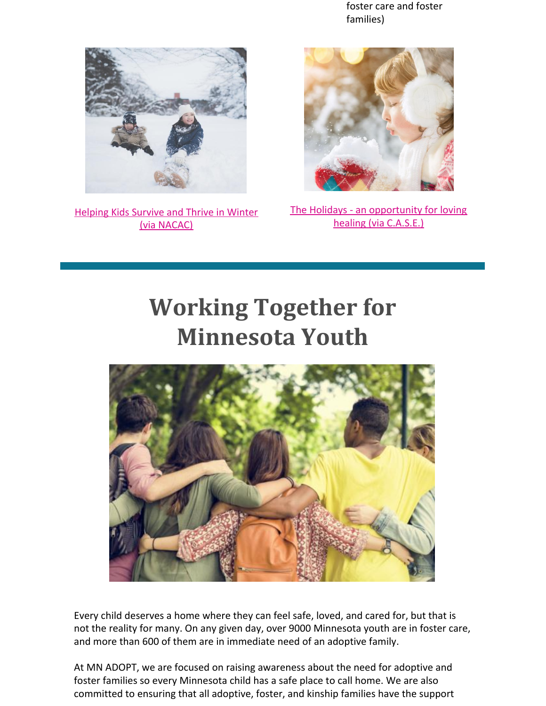foster care and foster families)



[Helping](https://www.nacac.org/resource/helping-kids-survive-and-thrive-in-winter/) Kids Survive and Thrive in Winter (via NACAC)



The Holidays - an [opportunity](https://adoptionsupport.org/general/holidays-opportunity-loving-healing/) for loving healing (via C.A.S.E.)

# **Working Together for Minnesota Youth**



Every child deserves a home where they can feel safe, loved, and cared for, but that is not the reality for many. On any given day, over 9000 Minnesota youth are in foster care, and more than 600 of them are in immediate need of an adoptive family.

At MN ADOPT, we are focused on raising awareness about the need for adoptive and foster families so every Minnesota child has a safe place to call home. We are also committed to ensuring that all adoptive, foster, and kinship families have the support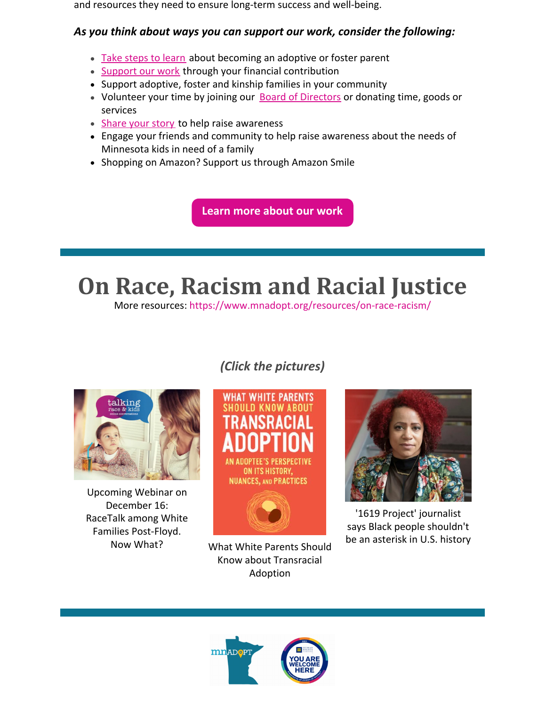and resources they need to ensure long-term success and well-being.

### *As you think about ways you can support our work, consider the following:*

- Take [steps](https://www.mnadopt.org/adoption-101/) to learn about becoming an adoptive or foster parent
- [Support](https://www.mnadopt.org/get-involved/donate/) our work through your financial contribution
- Support adoptive, foster and kinship families in your community
- Volunteer your time by joining our **Board of [Directors](https://www.mnadopt.org/about/board/)** or donating time, goods or services
- [Share](https://www.mnadopt.org/get-involved/tell-your-story/) your story to help raise awareness
- Engage your friends and community to help raise awareness about the needs of Minnesota kids in need of a family
- Shopping on Amazon? Support us through Amazon Smile

**Learn more [about](https://www.mnadopt.org/) our work**

# **On Race, Racism and Racial Justice**

More resources: https://www.mnadopt.org/resources/on-race-racism/

### *(Click the pictures)*



Upcoming Webinar on December 16: RaceTalk among White Families Post-Floyd.





Know about Transracial Adoption



'1619 Project' journalist says Black people shouldn't be an asterisk in U.S. history